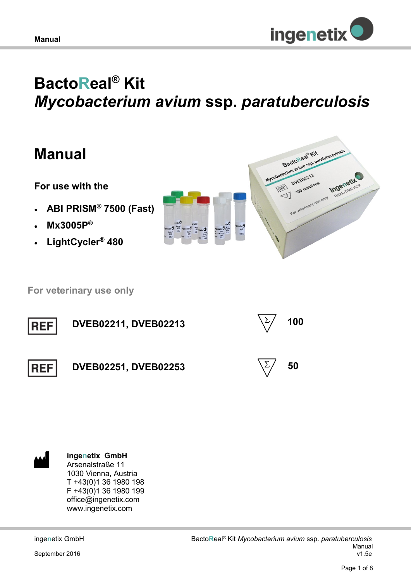

# **BactoReal® Kit**  *Mycobacterium avium* **ssp.** *paratuberculosis*

# **Manual**

**For use with the** 

- **ABI PRISM® 7500 (Fast)**
- **Mx3005P®**
- **LightCycler® 480**



 **For veterinary use only**





**ingenetix GmbH** Arsenalstraße 11 1030 Vienna, Austria T +43(0)1 36 1980 198 F +43(0)1 36 1980 199 office@ingenetix.com www.ingenetix.com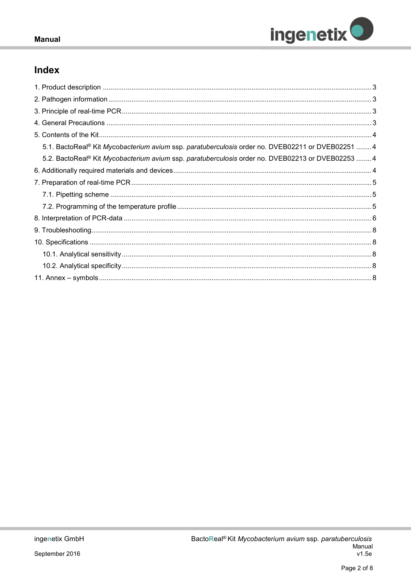

# Index

| 5.1. BactoReal® Kit Mycobacterium avium ssp. paratuberculosis order no. DVEB02211 or DVEB02251 4  |
|---------------------------------------------------------------------------------------------------|
| 5.2. BactoReal® Kit Mycobacterium avium ssp. paratuberculosis order no. DVEB02213 or DVEB02253  4 |
|                                                                                                   |
|                                                                                                   |
|                                                                                                   |
|                                                                                                   |
|                                                                                                   |
|                                                                                                   |
|                                                                                                   |
|                                                                                                   |
|                                                                                                   |
|                                                                                                   |
|                                                                                                   |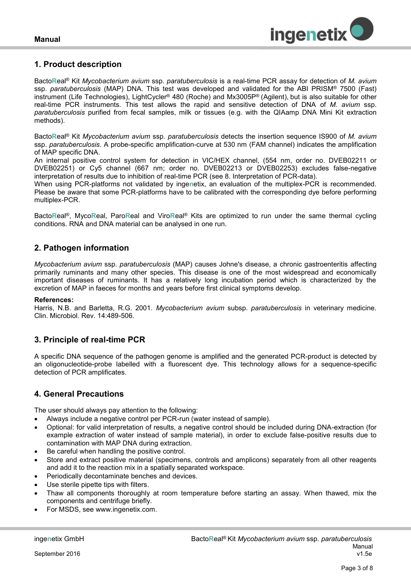

# <span id="page-2-0"></span>**1. Product description**

Bacto**R**eal® Kit *Mycobacterium avium* ssp. *paratuberculosis* is a real-time PCR assay for detection of *M. avium* ssp. *paratuberculosis* (MAP) DNA. This test was developed and validated for the ABI PRISM® 7500 (Fast) instrument (Life Technologies), LightCycler® 480 (Roche) and Mx3005P® (Agilent), but is also suitable for other real-time PCR instruments. This test allows the rapid and sensitive detection of DNA of *M. avium* ssp. *paratuberculosis* purified from fecal samples, milk or tissues (e.g. with the QIAamp DNA Mini Kit extraction methods).

Bacto**R**eal® Kit *Mycobacterium avium* ssp. *paratuberculosis* detects the insertion sequence IS900 of *M. avium* ssp. *paratuberculosis*. A probe-specific amplification-curve at 530 nm (FAM channel) indicates the amplification of MAP specific DNA.

An internal positive control system for detection in VIC/HEX channel, (554 nm, order no. DVEB02211 or DVEB02251) or Cy5 channel (667 nm; order no. DVEB02213 or DVEB02253) excludes false-negative interpretation of results due to inhibition of real-time PCR (see 8. Interpretation of PCR-data).

When using PCR-platforms not validated by inge**n**etix, an evaluation of the multiplex-PCR is recommended. Please be aware that some PCR-platforms have to be calibrated with the corresponding dye before performing multiplex-PCR.

Bacto**R**eal®, Myco**R**eal, Paro**R**eal and Viro**R**eal® Kits are optimized to run under the same thermal cycling conditions. RNA and DNA material can be analysed in one run.

# <span id="page-2-1"></span>**2. Pathogen information**

*Mycobacterium avium* ssp. *paratuberculosis* (MAP) causes Johne's disease, a chronic gastroenteritis affecting primarily ruminants and many other species. This disease is one of the most widespread and economically important diseases of ruminants. It has a relatively long incubation period which is characterized by the excretion of MAP in faeces for months and years before first clinical symptoms develop.

#### **References:**

Harris, N.B. and Barletta, R.G. 2001. *Mycobacterium avium* subsp. *paratuberculosis* in veterinary medicine. Clin. Microbiol. Rev. 14:489-506.

# <span id="page-2-2"></span>**3. Principle of real-time PCR**

A specific DNA sequence of the pathogen genome is amplified and the generated PCR-product is detected by an oligonucleotide-probe labelled with a fluorescent dye. This technology allows for a sequence-specific detection of PCR amplificates.

#### <span id="page-2-3"></span>**4. General Precautions**

The user should always pay attention to the following:

- Always include a negative control per PCR-run (water instead of sample).
- Optional: for valid interpretation of results, a negative control should be included during DNA-extraction (for example extraction of water instead of sample material), in order to exclude false-positive results due to contamination with MAP DNA during extraction.
- Be careful when handling the positive control.
- Store and extract positive material (specimens, controls and amplicons) separately from all other reagents and add it to the reaction mix in a spatially separated workspace.
- Periodically decontaminate benches and devices.
- Use sterile pipette tips with filters.
- Thaw all components thoroughly at room temperature before starting an assay. When thawed, mix the components and centrifuge briefly.
- For MSDS, see www.ingenetix.com.

September 2016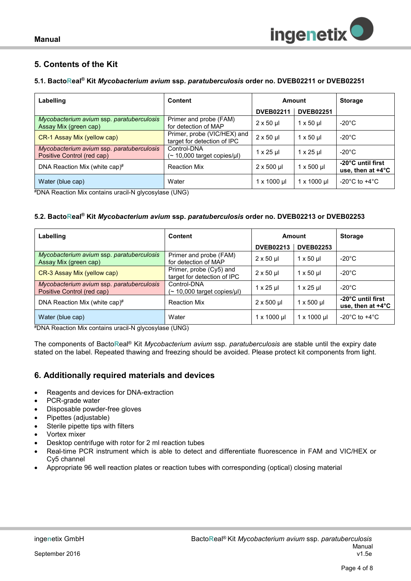

# <span id="page-3-0"></span>**5. Contents of the Kit**

#### <span id="page-3-1"></span>**5.1. BactoReal® Kit** *Mycobacterium avium* **ssp.** *paratuberculosis* **order no. DVEB02211 or DVEB02251**

| Labelling                                                               | Content                                                    | Amount             |                                  | <b>Storage</b>                                   |  |
|-------------------------------------------------------------------------|------------------------------------------------------------|--------------------|----------------------------------|--------------------------------------------------|--|
|                                                                         |                                                            | <b>DVEB02211</b>   | <b>DVEB02251</b>                 |                                                  |  |
| Mycobacterium avium ssp. paratuberculosis<br>Assay Mix (green cap)      | Primer and probe (FAM)<br>for detection of MAP             | $2 \times 50$ µl   | $1 \times 50 \text{ µ}$          | $-20^{\circ}$ C                                  |  |
| CR-1 Assay Mix (yellow cap)                                             | Primer, probe (VIC/HEX) and<br>target for detection of IPC | $2 \times 50$ µl   | $1 \times 50$ µ                  | $-20^{\circ}$ C                                  |  |
| Mycobacterium avium ssp. paratuberculosis<br>Positive Control (red cap) | Control-DNA<br>$($ ~ 10,000 target copies/ $\mu$ I)        | $1 \times 25$ µl   | $1 \times 25$ µ                  | $-20^{\circ}$ C                                  |  |
| DNA Reaction Mix (white cap)#                                           | <b>Reaction Mix</b>                                        | $2 \times 500$ µl  | $1 \times 500$ µl                | -20°C until first<br>use, then at $+4^{\circ}$ C |  |
| Water (blue cap)                                                        | Water                                                      | $1 \times 1000$ µl | $1 \times 1000 \,\mathrm{\upmu}$ | -20 $^{\circ}$ C to +4 $^{\circ}$ C              |  |
| $\sim$ $\sim$<br>.                                                      | $\cdots$                                                   |                    |                                  |                                                  |  |

#DNA Reaction Mix contains uracil-N glycosylase (UNG)

#### <span id="page-3-2"></span>**5.2. BactoReal® Kit** *Mycobacterium avium* **ssp.** *paratuberculosis* **order no. DVEB02213 or DVEB02253**

| Labelling                                                               | <b>Content</b>                                         | Amount              |                         | <b>Storage</b>                                   |
|-------------------------------------------------------------------------|--------------------------------------------------------|---------------------|-------------------------|--------------------------------------------------|
|                                                                         |                                                        | <b>DVEB02213</b>    | <b>DVEB02253</b>        |                                                  |
| Mycobacterium avium ssp. paratuberculosis<br>Assay Mix (green cap)      | Primer and probe (FAM)<br>for detection of MAP         | $2 \times 50$ µ     | $1 \times 50 \mu$       | -20 $^{\circ}$ C                                 |
| CR-3 Assay Mix (yellow cap)                                             | Primer, probe (Cy5) and<br>target for detection of IPC | $2 \times 50$ µl    | $1 \times 50 \text{ µ}$ | -20 $^{\circ}$ C                                 |
| Mycobacterium avium ssp. paratuberculosis<br>Positive Control (red cap) | Control-DNA<br>$($ ~ 10,000 target copies/µl)          | $1 \times 25$ µ     | $1 \times 25$ µ         | -20°C                                            |
| DNA Reaction Mix (white cap) $#$                                        | <b>Reaction Mix</b>                                    | $2 \times 500$ µl   | $1 \times 500$ µl       | -20°C until first<br>use, then at $+4^{\circ}$ C |
| Water (blue cap)                                                        | Water                                                  | $1 \times 1000 \mu$ | $1 \times 1000 \mu$     | -20 $^{\circ}$ C to +4 $^{\circ}$ C              |

#DNA Reaction Mix contains uracil-N glycosylase (UNG)

The components of Bacto**R**eal® Kit *Mycobacterium avium* ssp. *paratuberculosis* are stable until the expiry date stated on the label. Repeated thawing and freezing should be avoided. Please protect kit components from light.

# <span id="page-3-3"></span>**6. Additionally required materials and devices**

- Reagents and devices for DNA-extraction
- PCR-grade water
- Disposable powder-free gloves
- Pipettes (adjustable)
- Sterile pipette tips with filters
- Vortex mixer
- Desktop centrifuge with rotor for 2 ml reaction tubes
- Real-time PCR instrument which is able to detect and differentiate fluorescence in FAM and VIC/HEX or Cy5 channel
- Appropriate 96 well reaction plates or reaction tubes with corresponding (optical) closing material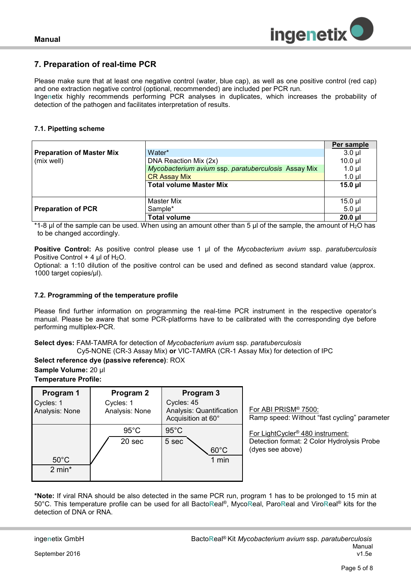

# <span id="page-4-0"></span>**7. Preparation of real-time PCR**

Please make sure that at least one negative control (water, blue cap), as well as one positive control (red cap) and one extraction negative control (optional, recommended) are included per PCR run.

Inge**n**etix highly recommends performing PCR analyses in duplicates, which increases the probability of detection of the pathogen and facilitates interpretation of results*.*

#### <span id="page-4-1"></span>**7.1. Pipetting scheme**

|                                  |                                                     | Per sample   |  |  |
|----------------------------------|-----------------------------------------------------|--------------|--|--|
| <b>Preparation of Master Mix</b> | Water*                                              | $3.0$ $\mu$  |  |  |
| (mix well)                       | DNA Reaction Mix (2x)                               | $10.0$ $\mu$ |  |  |
|                                  | Mycobacterium avium ssp. paratuberculosis Assay Mix | $1.0$ µl     |  |  |
| <b>CR Assay Mix</b>              |                                                     |              |  |  |
|                                  | <b>Total volume Master Mix</b>                      | $15.0$ µl    |  |  |
|                                  |                                                     |              |  |  |
|                                  | Master Mix                                          | $15.0$ µl    |  |  |
| <b>Preparation of PCR</b>        | Sample*                                             | $5.0 \mu$    |  |  |
|                                  | <b>Total volume</b>                                 | $20.0$ $\mu$ |  |  |

\*1-8  $\mu$ l of the sample can be used. When using an amount other than 5  $\mu$ l of the sample, the amount of H<sub>2</sub>O has to be changed accordingly.

**Positive Control:** As positive control please use 1 µl of the *Mycobacterium avium* ssp. *paratuberculosis* Positive Control  $+$  4 µl of H<sub>2</sub>O.

Optional: a 1:10 dilution of the positive control can be used and defined as second standard value (approx. 1000 target copies/µl).

#### <span id="page-4-2"></span>**7.2. Programming of the temperature profile**

Please find further information on programming the real-time PCR instrument in the respective operator's manual. Please be aware that some PCR-platforms have to be calibrated with the corresponding dye before performing multiplex-PCR.

**Select dyes:** FAM-TAMRA for detection of *Mycobacterium avium* ssp. *paratuberculosis* Cy5-NONE (CR-3 Assay Mix) **or** VIC-TAMRA (CR-1 Assay Mix) for detection of IPC

**Select reference dye (passive reference)**: ROX

**Sample Volume:** 20 µl

| <b>Temperature Profile:</b> |  |
|-----------------------------|--|
|-----------------------------|--|

| Program 1<br>Cycles: 1<br>Analysis: None | Program 2<br>Cycles: 1<br>Analysis: None | Program 3<br>Cycles: 45<br>Analysis: Quantification<br>Acquisition at 60° | For ABI PRISM® 7500:<br>Ramp speed: Without "fast cycling" parameter                                           |
|------------------------------------------|------------------------------------------|---------------------------------------------------------------------------|----------------------------------------------------------------------------------------------------------------|
| $50^{\circ}$ C<br>$2 \text{ min}^*$      | $95^{\circ}$ C<br>20 sec                 | $95^{\circ}$ C<br>5 sec<br>$60^{\circ}$ C<br>1 min                        | For LightCycler <sup>®</sup> 480 instrument:<br>Detection format: 2 Color Hydrolysis Probe<br>(dyes see above) |

**\*Note:** If viral RNA should be also detected in the same PCR run, program 1 has to be prolonged to 15 min at 50°C. This temperature profile can be used for all Bacto**R**eal®, Myco**R**eal, Paro**R**eal and Viro**R**eal® kits for the detection of DNA or RNA.

September 2016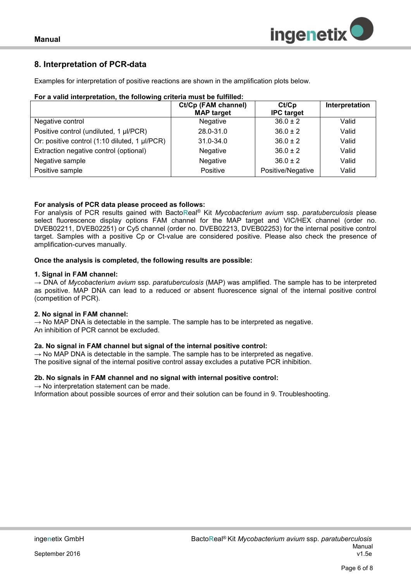

# <span id="page-5-0"></span>**8. Interpretation of PCR-data**

Examples for interpretation of positive reactions are shown in the amplification plots below.

| For a valid interpretation, the following criteria must be fulfilled: |  |  |
|-----------------------------------------------------------------------|--|--|
|                                                                       |  |  |

|                                               | Ct/Cp (FAM channel)<br><b>MAP target</b> | Ct/Cp<br><b>IPC</b> target | Interpretation |
|-----------------------------------------------|------------------------------------------|----------------------------|----------------|
| Negative control                              | <b>Negative</b>                          | $36.0 \pm 2$               | Valid          |
| Positive control (undiluted, 1 µl/PCR)        | 28.0-31.0                                | $36.0 \pm 2$               | Valid          |
| Or: positive control (1:10 diluted, 1 µl/PCR) | $31.0 - 34.0$                            | $36.0 \pm 2$               | Valid          |
| Extraction negative control (optional)        | Negative                                 | $36.0 + 2$                 | Valid          |
| Negative sample                               | Negative                                 | $36.0 + 2$                 | Valid          |
| Positive sample                               | Positive                                 | Positive/Negative          | Valid          |

#### **For analysis of PCR data please proceed as follows:**

For analysis of PCR results gained with Bacto**R**eal® Kit *Mycobacterium avium* ssp. *paratuberculosis* please select fluorescence display options FAM channel for the MAP target and VIC/HEX channel (order no. DVEB02211, DVEB02251) or Cy5 channel (order no. DVEB02213, DVEB02253) for the internal positive control target. Samples with a positive Cp or Ct-value are considered positive. Please also check the presence of amplification-curves manually.

#### **Once the analysis is completed, the following results are possible:**

#### **1. Signal in FAM channel:**

→ DNA of *Mycobacterium avium* ssp. *paratuberculosis* (MAP) was amplified. The sample has to be interpreted as positive. MAP DNA can lead to a reduced or absent fluorescence signal of the internal positive control (competition of PCR).

#### **2. No signal in FAM channel:**

 $\rightarrow$  No MAP DNA is detectable in the sample. The sample has to be interpreted as negative. An inhibition of PCR cannot be excluded.

#### **2a. No signal in FAM channel but signal of the internal positive control:**

 $\rightarrow$  No MAP DNA is detectable in the sample. The sample has to be interpreted as negative. The positive signal of the internal positive control assay excludes a putative PCR inhibition.

#### **2b. No signals in FAM channel and no signal with internal positive control:**

 $\rightarrow$  No interpretation statement can be made.

Information about possible sources of error and their solution can be found in 9. Troubleshooting.

September 2016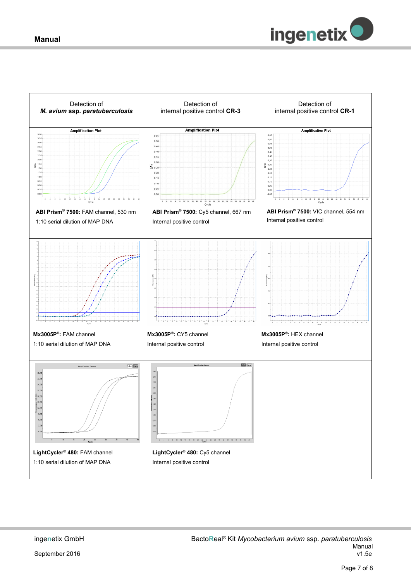